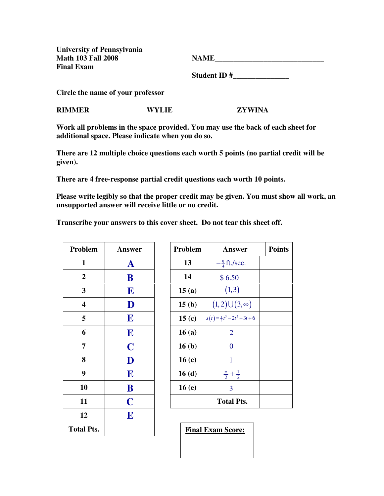**University of Pennsylvania Math 103 Fall 2008** N **Final Exam** 

| <b>JAME</b> |  |
|-------------|--|
|             |  |

 **Student ID #\_\_\_\_\_\_\_\_\_\_\_\_\_\_\_** 

**Circle the name of your professor** 

**RIMMER WYLIE ZYWINA** 

**Work all problems in the space provided. You may use the back of each sheet for additional space. Please indicate when you do so.** 

**There are 12 multiple choice questions each worth 5 points (no partial credit will be given).** 

**There are 4 free-response partial credit questions each worth 10 points.** 

**Please write legibly so that the proper credit may be given. You must show all work, an unsupported answer will receive little or no credit.** 

**Transcribe your answers to this cover sheet. Do not tear this sheet off.** 

| Problem                 | <b>Answer</b>           |  |
|-------------------------|-------------------------|--|
| 1                       | $\mathbf A$             |  |
| $\mathbf{2}$            | B                       |  |
| 3                       | E                       |  |
| $\overline{\mathbf{4}}$ | $\mathbf D$             |  |
| 5                       | E                       |  |
| 6                       | E                       |  |
| 7                       | $\overline{\mathbf{C}}$ |  |
| 8                       | D                       |  |
| 9                       | E                       |  |
| 10                      | B                       |  |
| 11                      | $\overline{\mathbf{C}}$ |  |
| 12                      | E                       |  |
| <b>Total Pts.</b>       |                         |  |

| Problem           | <b>Answer</b>                           | <b>Points</b> |
|-------------------|-----------------------------------------|---------------|
| 13                | $-\frac{9}{4}$ ft./sec.                 |               |
| 14                | \$6.50                                  |               |
| 15(a)             | (1, 3)                                  |               |
| 15(b)             | $(1,2)\cup(3,\infty)$                   |               |
| 15 $(c)$          | $s(t) = \frac{1}{3}t^3 - 2t^2 + 3t + 6$ |               |
| 16(a)             | 2                                       |               |
| 16 <sub>(b)</sub> | 0                                       |               |
| 16(c)             | 1                                       |               |
| 16(d)             | $\frac{\pi}{2} + \frac{1}{2}$           |               |
| 16(e)             | 3                                       |               |
|                   | <b>Total Pts.</b>                       |               |

**Final Exam Score:**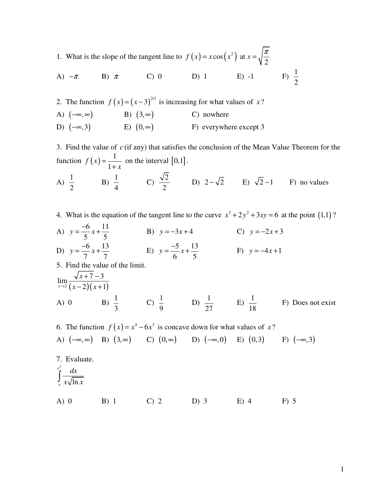1. What is the slope of the tangent line to  $f(x) = x \cos(x^2)$  at 2  $f(x) = x \cos(x^2)$  at  $x = \sqrt{\frac{\pi}{2}}$ 

A) 
$$
-\pi
$$
 B)  $\pi$  C) 0 D) 1 E) -1 F)  $\frac{1}{2}$ 

2. The function  $f ( x ) = ( x - 3 )^{2/3}$  is increasing for what values of *x* ? A)  $(-\infty, \infty)$  B)  $(3, \infty)$  C) nowhere D)  $(-\infty,3)$  E)  $(0,\infty)$  F) everywhere except 3

3. Find the value of *c* (if any) that satisfies the conclusion of the Mean Value Theorem for the function  $f(x) = \frac{1}{1+x}$ 1 *f x x* = + on the interval  $[0,1]$ .

A) 
$$
\frac{1}{2}
$$
 \tB)  $\frac{1}{4}$  \tC)  $\frac{\sqrt{2}}{2}$  \tD)  $2-\sqrt{2}$  \tE)  $\sqrt{2}-1$  \tF) no values

4. What is the equation of the tangent line to the curve  $x^3 + 2y^2 + 3xy = 6$  at the point (1,1)?

A)  $y = \frac{-6}{5}x + \frac{11}{5}$ 5 5  $y = \frac{0}{x}x$ − B)  $y = -3x + 4$  C)  $y = -2x + 3$ D)  $y = \frac{-6}{7}x + \frac{13}{7}$ 7 7  $y = \frac{0}{x}x$  $=-\frac{6}{5}x + \frac{13}{5}$  E)  $y = \frac{-5}{5}x + \frac{13}{5}$ 6 5  $y = \frac{y}{\epsilon}x$  $=\frac{-5}{6}x + \frac{13}{6}$  F)  $y = -4x + 1$ 5. Find the value of the limit.

$$
\lim_{x \to 2} \frac{\sqrt{x+7} - 3}{(x-2)(x+1)}
$$
  
\nA) 0 \tB)  $\frac{1}{3}$  \tC)  $\frac{1}{9}$  \tD)  $\frac{1}{27}$  \tE)  $\frac{1}{18}$  \tF) Does not exist

6. The function 
$$
f(x) = x^4 - 6x^3
$$
 is concave down for what values of x?  
\nA)  $(-\infty, \infty)$  B)  $(3, \infty)$  C)  $(0, \infty)$  D)  $(-\infty, 0)$  E)  $(0, 3)$  F)  $(-\infty, 3)$   
\n7. Evaluate.  
\n
$$
\int_{e}^{e^4} \frac{dx}{x\sqrt{\ln x}}
$$
  
\nA) 0 B) 1 C) 2 D) 3 E) 4 F) 5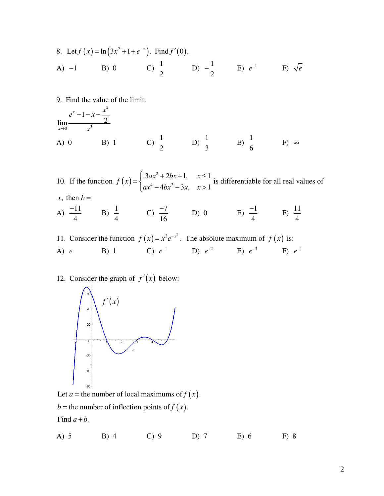8. Let 
$$
f(x) = \ln(3x^2 + 1 + e^{-x})
$$
. Find  $f'(0)$ .  
\nA) -1 \tB) 0 \tC)  $\frac{1}{2}$  \tD)  $-\frac{1}{2}$  \tE)  $e^{-1}$  \tF)  $\sqrt{e}$ 

9. Find the value of the limit.

$$
\lim_{x \to 0} \frac{e^x - 1 - x - \frac{x^2}{2}}{x^3}
$$
  
\nA) 0 \tB) 1 \tC)  $\frac{1}{2}$  \tD)  $\frac{1}{3}$  \tE)  $\frac{1}{6}$  \tF)  $\infty$ 

10. If the function 
$$
f(x) = \begin{cases} 3ax^2 + 2bx + 1, & x \le 1 \\ ax^4 - 4bx^2 - 3x, & x > 1 \end{cases}
$$
 is differentiable for all real values of x, then  $b =$ 

- A)  $\frac{-11}{4}$ 4  $\frac{-11}{4}$  B)  $\frac{1}{4}$ 4 C)  $\frac{-7}{16}$ 16  $\frac{-7}{16}$  D) 0 E)  $\frac{-1}{4}$ 4  $\frac{-1}{4}$  F)  $\frac{11}{4}$ 4
- 11. Consider the function  $f(x) = x^2 e^{-x^2}$ . The absolute maximum of  $f(x)$  is: A) *e* B) 1 C)  $e^{-1}$  D)  $e^{-2}$  E)  $e^{-3}$  F)  $e^{-4}$

## 12. Consider the graph of  $f'(x)$  below:



Let  $a$  = the number of local maximums of  $f(x)$ .

 $b =$  the number of inflection points of  $f(x)$ .

Find  $a + b$ .

A) 5 B) 4 C) 9 D) 7 E) 6 F) 8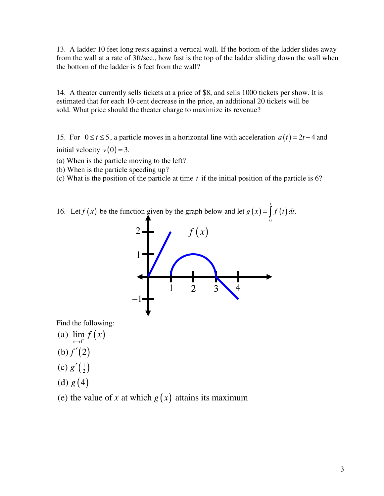13. A ladder 10 feet long rests against a vertical wall. If the bottom of the ladder slides away from the wall at a rate of 3ft/sec., how fast is the top of the ladder sliding down the wall when the bottom of the ladder is 6 feet from the wall?

14. A theater currently sells tickets at a price of \$8, and sells 1000 tickets per show. It is estimated that for each 10-cent decrease in the price, an additional 20 tickets will be sold. What price should the theater charge to maximize its revenue?

15. For  $0 \le t \le 5$ , a particle moves in a horizontal line with acceleration  $a(t) = 2t - 4$  and initial velocity  $v(0) = 3$ .

(a) When is the particle moving to the left?

(b) When is the particle speeding up?

(c) What is the position of the particle at time *t* if the initial position of the particle is 6?

16. Let  $f(x)$  be the function given by the graph below and let  $g(x) = \int f(t) dt$ . *f* (*x*) be the function given by the graph below and let  $g(x) = \int_0^x f(t) dt$ 



Find the following:

- (a)  $\lim_{x \to 1^{-}} f(x)$
- $(b) f'(2)$
- $\left(\frac{1}{2}\right)$ (c)  $g'(\frac{1}{2})$
- (d)  $g(4)$
- (e) the value of x at which  $g(x)$  attains its maximum